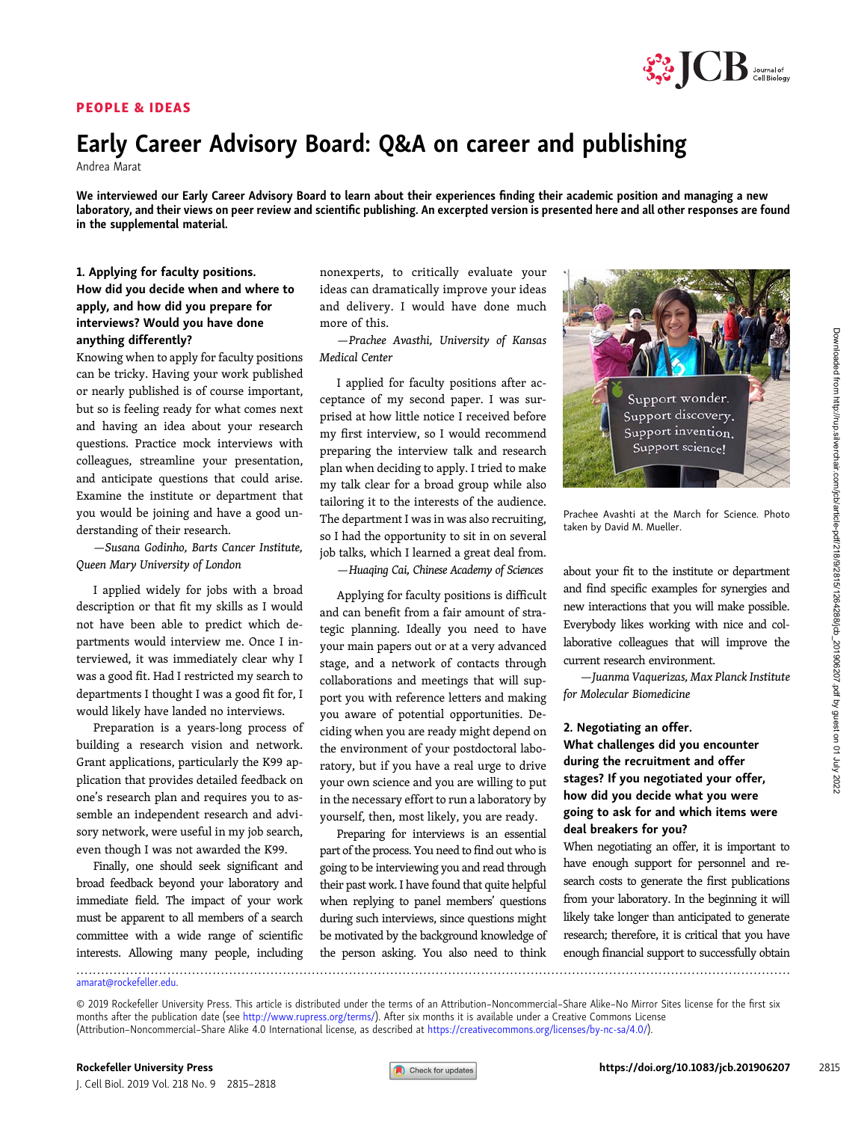## PEOPLE & IDEAS



# Early Career Advisory Board: Q&A on career and publishing

Andrea Marat

We interviewed our Early Career Advisory Board to learn about their experiences finding their academic position and managing a new laboratory, and their views on peer review and scientific publishing. An excerpted version is presented here and all other responses are found in the supplemental material.

## 1. Applying for faculty positions. How did you decide when and where to apply, and how did you prepare for interviews? Would you have done anything differently?

Knowing when to apply for faculty positions can be tricky. Having your work published or nearly published is of course important, but so is feeling ready for what comes next and having an idea about your research questions. Practice mock interviews with colleagues, streamline your presentation, and anticipate questions that could arise. Examine the institute or department that you would be joining and have a good understanding of their research.

—Susana Godinho, Barts Cancer Institute, Queen Mary University of London

I applied widely for jobs with a broad description or that fit my skills as I would not have been able to predict which departments would interview me. Once I interviewed, it was immediately clear why I was a good fit. Had I restricted my search to departments I thought I was a good fit for, I would likely have landed no interviews.

Preparation is a years-long process of building a research vision and network. Grant applications, particularly the K99 application that provides detailed feedback on one's research plan and requires you to assemble an independent research and advisory network, were useful in my job search, even though I was not awarded the K99.

Finally, one should seek significant and broad feedback beyond your laboratory and immediate field. The impact of your work must be apparent to all members of a search committee with a wide range of scientific interests. Allowing many people, including nonexperts, to critically evaluate your ideas can dramatically improve your ideas and delivery. I would have done much more of this.

—Prachee Avasthi, University of Kansas Medical Center

I applied for faculty positions after acceptance of my second paper. I was surprised at how little notice I received before my first interview, so I would recommend preparing the interview talk and research plan when deciding to apply. I tried to make my talk clear for a broad group while also tailoring it to the interests of the audience. The department I was in was also recruiting, so I had the opportunity to sit in on several job talks, which I learned a great deal from.

—Huaqing Cai, Chinese Academy of Sciences

Applying for faculty positions is difficult and can benefit from a fair amount of strategic planning. Ideally you need to have your main papers out or at a very advanced stage, and a network of contacts through collaborations and meetings that will support you with reference letters and making you aware of potential opportunities. Deciding when you are ready might depend on the environment of your postdoctoral laboratory, but if you have a real urge to drive your own science and you are willing to put in the necessary effort to run a laboratory by yourself, then, most likely, you are ready.

Preparing for interviews is an essential part of the process. You need to find out who is going to be interviewing you and read through their past work. I have found that quite helpful when replying to panel members' questions during such interviews, since questions might be motivated by the background knowledge of the person asking. You also need to think



Prachee Avashti at the March for Science. Photo taken by David M. Mueller.

about your fit to the institute or department and find specific examples for synergies and new interactions that you will make possible. Everybody likes working with nice and collaborative colleagues that will improve the current research environment.

—Juanma Vaquerizas, Max Planck Institute for Molecular Biomedicine

#### 2. Negotiating an offer.

What challenges did you encounter during the recruitment and offer stages? If you negotiated your offer, how did you decide what you were going to ask for and which items were deal breakers for you?

When negotiating an offer, it is important to have enough support for personnel and research costs to generate the first publications from your laboratory. In the beginning it will likely take longer than anticipated to generate research; therefore, it is critical that you have enough financial support to successfully obtain .............................................................................................................................................................................

[amarat@rockefeller.edu](mailto:amarat@rockefeller.edu).

<sup>© 2019</sup> Rockefeller University Press. This article is distributed under the terms of an Attribution–Noncommercial–Share Alike–No Mirror Sites license for the first six months after the publication date (see [http://www.rupress.org/terms/\)](http://www.rupress.org/terms/). After six months it is available under a Creative Commons License (Attribution–Noncommercial–Share Alike 4.0 International license, as described at <https://creativecommons.org/licenses/by-nc-sa/4.0/>).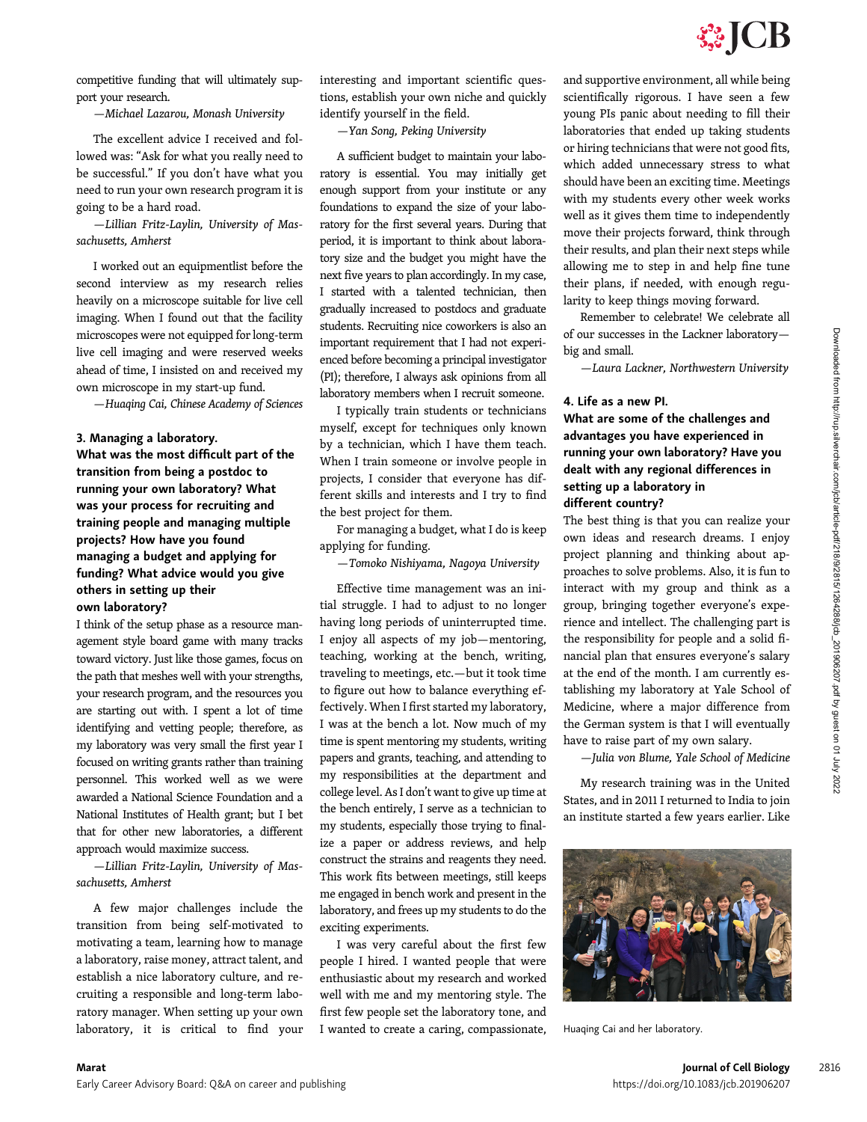competitive funding that will ultimately support your research.

—Michael Lazarou, Monash University

The excellent advice I received and followed was: "Ask for what you really need to be successful." If you don't have what you need to run your own research program it is going to be a hard road.

—Lillian Fritz-Laylin, University of Massachusetts, Amherst

I worked out an equipmentlist before the second interview as my research relies heavily on a microscope suitable for live cell imaging. When I found out that the facility microscopes were not equipped for long-term live cell imaging and were reserved weeks ahead of time, I insisted on and received my own microscope in my start-up fund.

—Huaqing Cai, Chinese Academy of Sciences

### 3. Managing a laboratory.

What was the most difficult part of the transition from being a postdoc to running your own laboratory? What was your process for recruiting and training people and managing multiple projects? How have you found managing a budget and applying for funding? What advice would you give others in setting up their own laboratory?

I think of the setup phase as a resource management style board game with many tracks toward victory. Just like those games, focus on the path that meshes well with your strengths, your research program, and the resources you are starting out with. I spent a lot of time identifying and vetting people; therefore, as my laboratory was very small the first year I focused on writing grants rather than training personnel. This worked well as we were awarded a National Science Foundation and a National Institutes of Health grant; but I bet that for other new laboratories, a different approach would maximize success.

—Lillian Fritz-Laylin, University of Massachusetts, Amherst

A few major challenges include the transition from being self-motivated to motivating a team, learning how to manage a laboratory, raise money, attract talent, and establish a nice laboratory culture, and recruiting a responsible and long-term laboratory manager. When setting up your own laboratory, it is critical to find your

interesting and important scientific questions, establish your own niche and quickly identify yourself in the field.

—Yan Song, Peking University

A sufficient budget to maintain your laboratory is essential. You may initially get enough support from your institute or any foundations to expand the size of your laboratory for the first several years. During that period, it is important to think about laboratory size and the budget you might have the next five years to plan accordingly. In my case, I started with a talented technician, then gradually increased to postdocs and graduate students. Recruiting nice coworkers is also an important requirement that I had not experienced before becoming a principal investigator (PI); therefore, I always ask opinions from all laboratory members when I recruit someone.

I typically train students or technicians myself, except for techniques only known by a technician, which I have them teach. When I train someone or involve people in projects, I consider that everyone has different skills and interests and I try to find the best project for them.

For managing a budget, what I do is keep applying for funding.

—Tomoko Nishiyama, Nagoya University

Effective time management was an initial struggle. I had to adjust to no longer having long periods of uninterrupted time. I enjoy all aspects of my job—mentoring, teaching, working at the bench, writing, traveling to meetings, etc.—but it took time to figure out how to balance everything effectively. When I first started my laboratory, I was at the bench a lot. Now much of my time is spent mentoring my students, writing papers and grants, teaching, and attending to my responsibilities at the department and college level. As I don't want to give up time at the bench entirely, I serve as a technician to my students, especially those trying to finalize a paper or address reviews, and help construct the strains and reagents they need. This work fits between meetings, still keeps me engaged in bench work and present in the laboratory, and frees up my students to do the exciting experiments.

I was very careful about the first few people I hired. I wanted people that were enthusiastic about my research and worked well with me and my mentoring style. The first few people set the laboratory tone, and I wanted to create a caring, compassionate, and supportive environment, all while being scientifically rigorous. I have seen a few young PIs panic about needing to fill their laboratories that ended up taking students or hiring technicians that were not good fits, which added unnecessary stress to what should have been an exciting time. Meetings with my students every other week works well as it gives them time to independently move their projects forward, think through their results, and plan their next steps while allowing me to step in and help fine tune their plans, if needed, with enough regularity to keep things moving forward.

Remember to celebrate! We celebrate all of our successes in the Lackner laboratory big and small.

—Laura Lackner, Northwestern University

## 4. Life as a new PI.

What are some of the challenges and advantages you have experienced in running your own laboratory? Have you dealt with any regional differences in setting up a laboratory in different country?

The best thing is that you can realize your own ideas and research dreams. I enjoy project planning and thinking about approaches to solve problems. Also, it is fun to interact with my group and think as a group, bringing together everyone's experience and intellect. The challenging part is the responsibility for people and a solid financial plan that ensures everyone's salary at the end of the month. I am currently establishing my laboratory at Yale School of Medicine, where a major difference from the German system is that I will eventually have to raise part of my own salary.

—Julia von Blume, Yale School of Medicine

My research training was in the United States, and in 2011 I returned to India to join an institute started a few years earlier. Like



Huaqing Cai and her laboratory.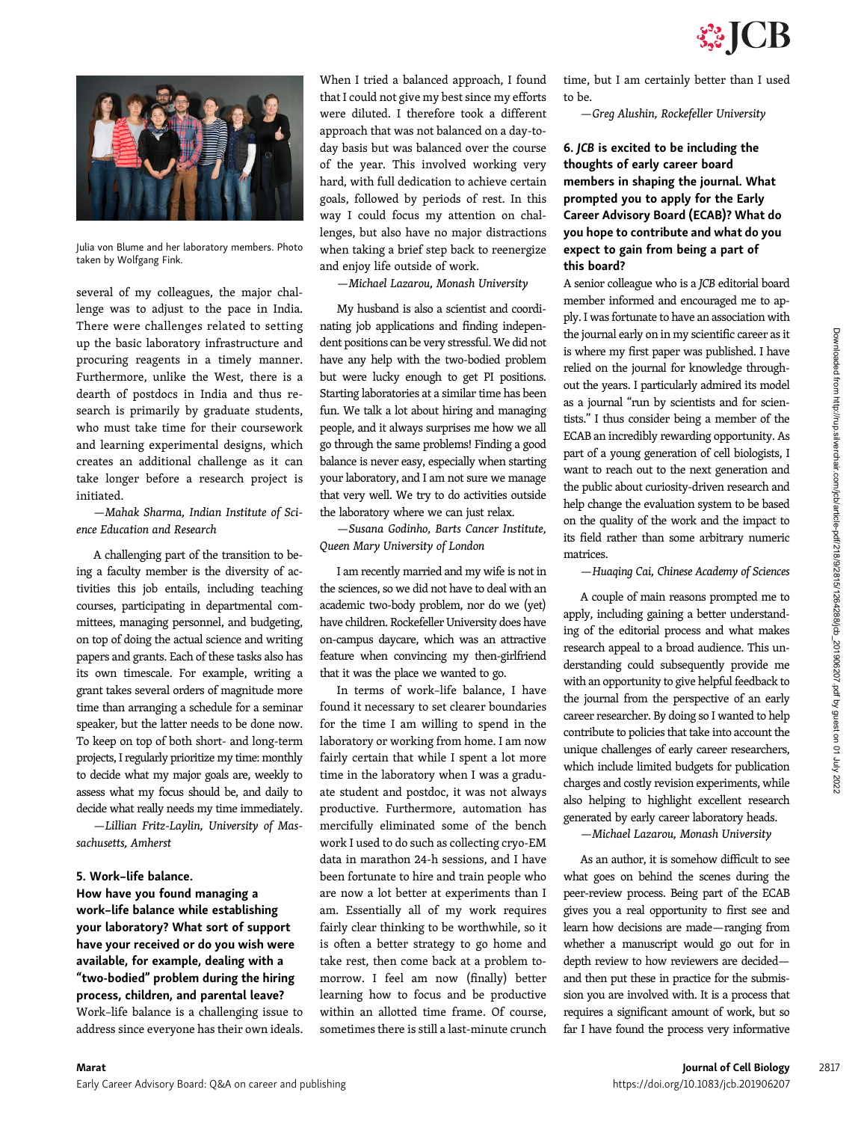

Julia von Blume and her laboratory members. Photo taken by Wolfgang Fink.

several of my colleagues, the major challenge was to adjust to the pace in India. There were challenges related to setting up the basic laboratory infrastructure and procuring reagents in a timely manner. Furthermore, unlike the West, there is a dearth of postdocs in India and thus research is primarily by graduate students, who must take time for their coursework and learning experimental designs, which creates an additional challenge as it can take longer before a research project is initiated.

—Mahak Sharma, Indian Institute of Science Education and Research

A challenging part of the transition to being a faculty member is the diversity of activities this job entails, including teaching courses, participating in departmental committees, managing personnel, and budgeting, on top of doing the actual science and writing papers and grants. Each of these tasks also has its own timescale. For example, writing a grant takes several orders of magnitude more time than arranging a schedule for a seminar speaker, but the latter needs to be done now. To keep on top of both short- and long-term projects, I regularly prioritize my time: monthly to decide what my major goals are, weekly to assess what my focus should be, and daily to decide what really needs my time immediately.

—Lillian Fritz-Laylin, University of Massachusetts, Amherst

#### 5. Work–life balance.

How have you found managing a work–life balance while establishing your laboratory? What sort of support have your received or do you wish were available, for example, dealing with a "two-bodied" problem during the hiring process, children, and parental leave? Work–life balance is a challenging issue to address since everyone has their own ideals.

When I tried a balanced approach, I found that I could not give my best since my efforts were diluted. I therefore took a different approach that was not balanced on a day-today basis but was balanced over the course of the year. This involved working very hard, with full dedication to achieve certain goals, followed by periods of rest. In this way I could focus my attention on challenges, but also have no major distractions when taking a brief step back to reenergize and enjoy life outside of work.

—Michael Lazarou, Monash University

My husband is also a scientist and coordinating job applications and finding independent positions can be very stressful. We did not have any help with the two-bodied problem but were lucky enough to get PI positions. Starting laboratories at a similar time has been fun. We talk a lot about hiring and managing people, and it always surprises me how we all go through the same problems! Finding a good balance is never easy, especially when starting your laboratory, and I am not sure we manage that very well. We try to do activities outside the laboratory where we can just relax.

—Susana Godinho, Barts Cancer Institute, Queen Mary University of London

I am recently married and my wife is not in the sciences, so we did not have to deal with an academic two-body problem, nor do we (yet) have children. Rockefeller University does have on-campus daycare, which was an attractive feature when convincing my then-girlfriend that it was the place we wanted to go.

In terms of work–life balance, I have found it necessary to set clearer boundaries for the time I am willing to spend in the laboratory or working from home. I am now fairly certain that while I spent a lot more time in the laboratory when I was a graduate student and postdoc, it was not always productive. Furthermore, automation has mercifully eliminated some of the bench work I used to do such as collecting cryo-EM data in marathon 24-h sessions, and I have been fortunate to hire and train people who are now a lot better at experiments than I am. Essentially all of my work requires fairly clear thinking to be worthwhile, so it is often a better strategy to go home and take rest, then come back at a problem tomorrow. I feel am now (finally) better learning how to focus and be productive within an allotted time frame. Of course, sometimes there is still a last-minute crunch

time, but I am certainly better than I used to be.

—Greg Alushin, Rockefeller University

## 6. JCB is excited to be including the thoughts of early career board members in shaping the journal. What prompted you to apply for the Early Career Advisory Board (ECAB)? What do you hope to contribute and what do you expect to gain from being a part of this board?

A senior colleague who is a JCB editorial board member informed and encouraged me to apply. I was fortunate to have an association with the journal early on in my scientific career as it is where my first paper was published. I have relied on the journal for knowledge throughout the years. I particularly admired its model as a journal "run by scientists and for scientists." I thus consider being a member of the ECAB an incredibly rewarding opportunity. As part of a young generation of cell biologists, I want to reach out to the next generation and the public about curiosity-driven research and help change the evaluation system to be based on the quality of the work and the impact to its field rather than some arbitrary numeric matrices.

—Huaqing Cai, Chinese Academy of Sciences

A couple of main reasons prompted me to apply, including gaining a better understanding of the editorial process and what makes research appeal to a broad audience. This understanding could subsequently provide me with an opportunity to give helpful feedback to the journal from the perspective of an early career researcher. By doing so I wanted to help contribute to policies that take into account the unique challenges of early career researchers, which include limited budgets for publication charges and costly revision experiments, while also helping to highlight excellent research generated by early career laboratory heads.

—Michael Lazarou, Monash University

As an author, it is somehow difficult to see what goes on behind the scenes during the peer-review process. Being part of the ECAB gives you a real opportunity to first see and learn how decisions are made—ranging from whether a manuscript would go out for in depth review to how reviewers are decided and then put these in practice for the submission you are involved with. It is a process that requires a significant amount of work, but so far I have found the process very informative